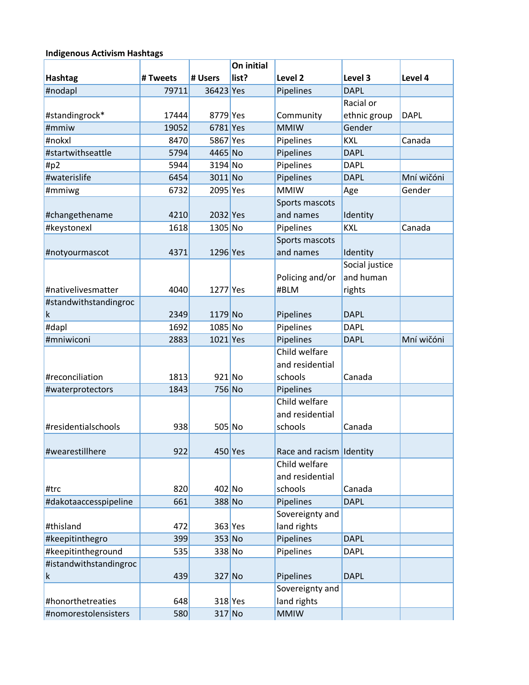### **Indigenous Activism Hashtags**

|                        |          |            | On initial |                          |                |             |
|------------------------|----------|------------|------------|--------------------------|----------------|-------------|
| <b>Hashtag</b>         | # Tweets | # Users    | list?      | Level <sub>2</sub>       | Level 3        | Level 4     |
| #nodapl                | 79711    | 36423 Yes  |            | Pipelines                | <b>DAPL</b>    |             |
|                        |          |            |            |                          | Racial or      |             |
| #standingrock*         | 17444    | 8779 Yes   |            | Community                | ethnic group   | <b>DAPL</b> |
| #mmiw                  | 19052    | 6781 Yes   |            | <b>MMIW</b>              | Gender         |             |
| #nokxl                 | 8470     | 5867 Yes   |            | Pipelines                | <b>KXL</b>     | Canada      |
| #startwithseattle      | 5794     | 4465 No    |            | Pipelines                | <b>DAPL</b>    |             |
| $\#p2$                 | 5944     | 3194 No    |            | Pipelines                | <b>DAPL</b>    |             |
| #waterislife           | 6454     | 3011 No    |            | Pipelines                | <b>DAPL</b>    | Mní wičóni  |
| #mmiwg                 | 6732     | 2095 Yes   |            | <b>MMIW</b>              | Age            | Gender      |
|                        |          |            |            | Sports mascots           |                |             |
| #changethename         | 4210     | 2032 Yes   |            | and names                | Identity       |             |
| #keystonexl            | 1618     | 1305 No    |            | Pipelines                | <b>KXL</b>     | Canada      |
|                        |          |            |            | Sports mascots           |                |             |
| #notyourmascot         | 4371     | 1296 Yes   |            | and names                | Identity       |             |
|                        |          |            |            |                          | Social justice |             |
|                        |          |            |            | Policing and/or          | and human      |             |
| #nativelivesmatter     | 4040     | 1277 Yes   |            | #BLM                     | rights         |             |
| #standwithstandingroc  |          |            |            |                          |                |             |
| k                      | 2349     | $1179$ No  |            | Pipelines                | <b>DAPL</b>    |             |
| #dapl                  | 1692     | 1085 No    |            | Pipelines                | <b>DAPL</b>    |             |
| #mniwiconi             | 2883     | $1021$ Yes |            | Pipelines                | <b>DAPL</b>    | Mní wičóni  |
|                        |          |            |            | Child welfare            |                |             |
|                        |          |            |            | and residential          |                |             |
| #reconciliation        | 1813     | 921 No     |            | schools                  | Canada         |             |
| #waterprotectors       | 1843     | 756 No     |            | Pipelines                |                |             |
|                        |          |            |            | Child welfare            |                |             |
|                        |          |            |            | and residential          |                |             |
| #residentialschools    | 938      | 505 No     |            | schools                  | Canada         |             |
|                        |          |            |            |                          |                |             |
| #wearestillhere        | 922      |            | $450$ Yes  | Race and racism Identity |                |             |
|                        |          |            |            | Child welfare            |                |             |
|                        |          |            |            | and residential          |                |             |
| #trc                   | 820      | 402 No     |            | schools                  | Canada         |             |
| #dakotaaccesspipeline  | 661      | 388 No     |            | Pipelines                | <b>DAPL</b>    |             |
|                        |          |            |            | Sovereignty and          |                |             |
| #thisland              | 472      |            | $363$ Yes  | land rights              |                |             |
| #keepitinthegro        | 399      | $353$ No   |            | Pipelines                | <b>DAPL</b>    |             |
| #keepitintheground     | 535      | 338 No     |            | Pipelines                | <b>DAPL</b>    |             |
| #istandwithstandingroc |          |            |            |                          |                |             |
| k                      | 439      | $327$ No   |            | Pipelines                | <b>DAPL</b>    |             |
|                        |          |            |            | Sovereignty and          |                |             |
| #honorthetreaties      | 648      |            | $318$ Yes  | land rights              |                |             |
| #nomorestolensisters   | 580      | $317$ No   |            | <b>MMIW</b>              |                |             |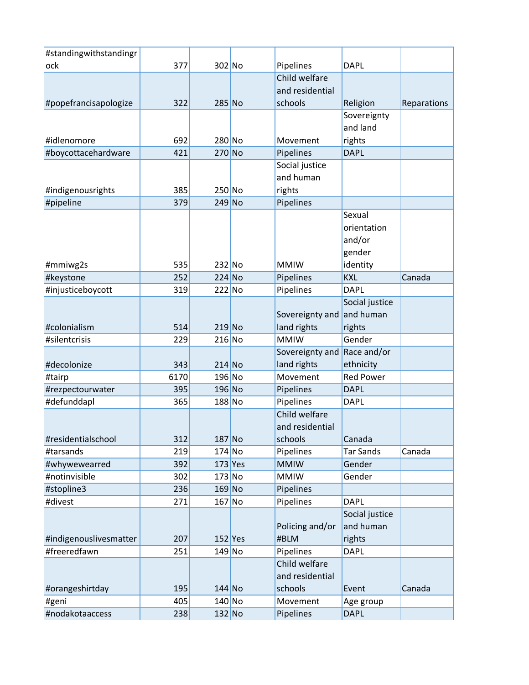| #standingwithstandingr |      |                  |           |                             |                               |             |
|------------------------|------|------------------|-----------|-----------------------------|-------------------------------|-------------|
| ock                    | 377  | $302$ No         |           | Pipelines                   | <b>DAPL</b>                   |             |
|                        |      |                  |           | Child welfare               |                               |             |
|                        |      |                  |           | and residential             |                               |             |
| #popefrancisapologize  | 322  | 285 No           |           | schools                     | Religion                      | Reparations |
|                        |      |                  |           |                             | Sovereignty                   |             |
|                        |      |                  |           |                             | and land                      |             |
| #idlenomore            | 692  | $280$ No         |           | Movement                    | rights                        |             |
| #boycottacehardware    | 421  | $270$ No         |           | Pipelines                   | <b>DAPL</b>                   |             |
|                        |      |                  |           | Social justice              |                               |             |
|                        |      |                  |           | and human                   |                               |             |
| #indigenousrights      | 385  | 250 No           |           | rights                      |                               |             |
| #pipeline              | 379  | $249$ No         |           | Pipelines                   |                               |             |
|                        |      |                  |           |                             | Sexual                        |             |
|                        |      |                  |           |                             | orientation                   |             |
|                        |      |                  |           |                             | and/or                        |             |
|                        |      |                  |           |                             | gender                        |             |
| #mmiwg2s               | 535  | $232$ No         |           | <b>MMIW</b>                 | identity                      |             |
| #keystone              | 252  | $224$ No         |           | Pipelines                   | <b>KXL</b>                    | Canada      |
| #injusticeboycott      | 319  | $222$ No         |           | Pipelines                   | <b>DAPL</b>                   |             |
|                        |      |                  |           |                             | Social justice                |             |
|                        |      |                  |           | Sovereignty and             | and human                     |             |
| #colonialism           | 514  | $219$ No         |           | land rights                 | rights                        |             |
| #silentcrisis          | 229  | $216$ No         |           | <b>MMIW</b>                 | Gender                        |             |
|                        |      |                  |           |                             |                               |             |
|                        |      | $214$ No         |           | Sovereignty and Race and/or |                               |             |
| #decolonize            | 343  |                  |           | land rights                 | ethnicity<br><b>Red Power</b> |             |
| #tairp                 | 6170 | 196 No<br>196 No |           | Movement                    |                               |             |
| #rezpectourwater       | 395  |                  |           | Pipelines                   | <b>DAPL</b>                   |             |
| #defunddapl            | 365  | 188 No           |           | Pipelines                   | <b>DAPL</b>                   |             |
|                        |      |                  |           | Child welfare               |                               |             |
|                        |      |                  |           | and residential             |                               |             |
| #residentialschool     | 312  | $187$ No         |           | schools                     | Canada                        |             |
| #tarsands              | 219  | 174 No           |           | Pipelines                   | <b>Tar Sands</b>              | Canada      |
| #whywewearred          | 392  |                  | $173$ Yes | <b>MMIW</b>                 | Gender                        |             |
| #notinvisible          | 302  | $173$ No         |           | <b>MMIW</b>                 | Gender                        |             |
| #stopline3             | 236  | $169$ No         |           | Pipelines                   |                               |             |
| #divest                | 271  | $167$ No         |           | Pipelines                   | <b>DAPL</b>                   |             |
|                        |      |                  |           |                             | Social justice                |             |
|                        |      |                  |           | Policing and/or             | and human                     |             |
| #indigenouslivesmatter | 207  |                  | $152$ Yes | #BLM                        | rights                        |             |
| #freeredfawn           | 251  | $149$ No         |           | Pipelines                   | <b>DAPL</b>                   |             |
|                        |      |                  |           | Child welfare               |                               |             |
|                        |      |                  |           | and residential             |                               |             |
| #orangeshirtday        | 195  | 144 No           |           | schools                     | Event                         | Canada      |
| #geni                  | 405  | $140$ No         |           | Movement                    | Age group                     |             |
| #nodakotaaccess        | 238  | $132$ No         |           | Pipelines                   | <b>DAPL</b>                   |             |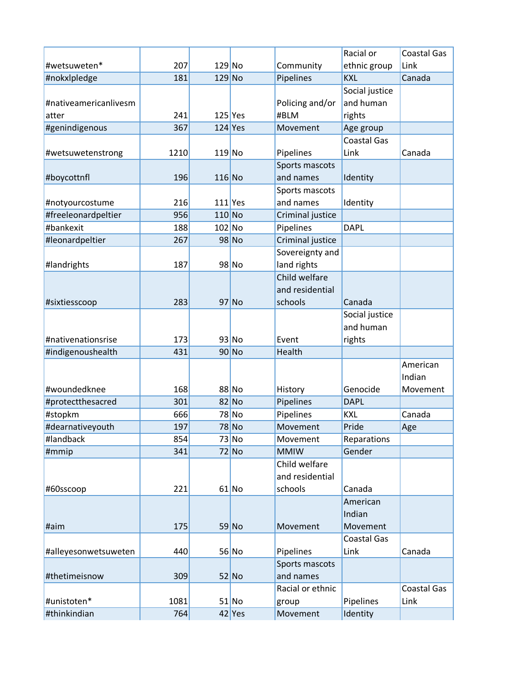|                       |      |          |           |                  | Racial or          | <b>Coastal Gas</b> |
|-----------------------|------|----------|-----------|------------------|--------------------|--------------------|
| #wetsuweten*          | 207  | $129$ No |           | Community        | ethnic group       | Link               |
| #nokxlpledge          | 181  | $129$ No |           | Pipelines        | <b>KXL</b>         | Canada             |
|                       |      |          |           |                  | Social justice     |                    |
| #nativeamericanlivesm |      |          |           | Policing and/or  | and human          |                    |
| atter                 | 241  |          | $125$ Yes | #BLM             | rights             |                    |
| #genindigenous        | 367  |          | $124$ Yes | Movement         | Age group          |                    |
|                       |      |          |           |                  | <b>Coastal Gas</b> |                    |
| #wetsuwetenstrong     | 1210 | $119$ No |           | Pipelines        | Link               | Canada             |
|                       |      |          |           | Sports mascots   |                    |                    |
| #boycottnfl           | 196  | $116$ No |           | and names        | Identity           |                    |
|                       |      |          |           | Sports mascots   |                    |                    |
| #notyourcostume       | 216  |          | $111$ Yes | and names        | Identity           |                    |
| #freeleonardpeltier   | 956  | $110$ No |           | Criminal justice |                    |                    |
| #bankexit             | 188  | 102 No   |           | Pipelines        | <b>DAPL</b>        |                    |
| #leonardpeltier       | 267  |          | $98$ No   | Criminal justice |                    |                    |
|                       |      |          |           | Sovereignty and  |                    |                    |
| #landrights           | 187  |          | $98$ No   | land rights      |                    |                    |
|                       |      |          |           | Child welfare    |                    |                    |
|                       |      |          |           | and residential  |                    |                    |
| #sixtiesscoop         | 283  |          | $97$ No   | schools          | Canada             |                    |
|                       |      |          |           |                  | Social justice     |                    |
|                       |      |          |           |                  | and human          |                    |
| #nativenationsrise    | 173  |          | $93$ No   | Event            | rights             |                    |
| #indigenoushealth     | 431  |          | $90$ No   | Health           |                    |                    |
|                       |      |          |           |                  |                    | American           |
|                       |      |          |           |                  |                    | Indian             |
| #woundedknee          | 168  |          | 88 No     | History          | Genocide           | Movement           |
| #protectthesacred     | 301  |          | $82$ No   | Pipelines        | <b>DAPL</b>        |                    |
| #stopkm               | 666  |          | 78 No     | Pipelines        | <b>KXL</b>         | Canada             |
| #dearnativeyouth      | 197  |          | 78 No     | Movement         | Pride              | Age                |
| #landback             | 854  |          | $73$ No   | Movement         | Reparations        |                    |
| #mmip                 | 341  |          | $72$ No   | <b>MMIW</b>      | Gender             |                    |
|                       |      |          |           | Child welfare    |                    |                    |
|                       |      |          |           | and residential  |                    |                    |
| #60sscoop             | 221  |          | $61$ No   | schools          | Canada             |                    |
|                       |      |          |           |                  | American           |                    |
|                       |      |          |           |                  | Indian             |                    |
| #aim                  | 175  |          | 59 No     | Movement         | Movement           |                    |
|                       |      |          |           |                  | <b>Coastal Gas</b> |                    |
| #alleyesonwetsuweten  | 440  |          | $56$ No   | Pipelines        | Link               | Canada             |
|                       |      |          |           | Sports mascots   |                    |                    |
| #thetimeisnow         | 309  |          | $52$ No   | and names        |                    |                    |
|                       |      |          |           | Racial or ethnic |                    | <b>Coastal Gas</b> |
| #unistoten*           | 1081 |          | $51$ No   | group            | Pipelines          | Link               |
| #thinkindian          | 764  |          | $42$ Yes  | Movement         | Identity           |                    |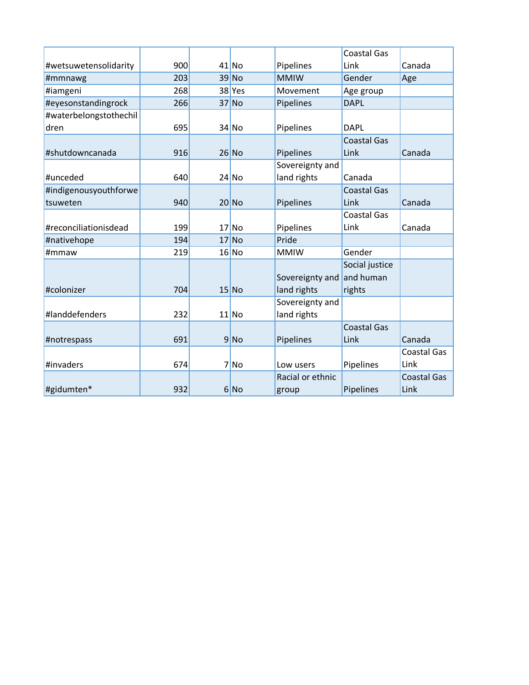|                        |     |         |                  | <b>Coastal Gas</b> |                    |
|------------------------|-----|---------|------------------|--------------------|--------------------|
| #wetsuwetensolidarity  | 900 | $41$ No | Pipelines        | Link               | Canada             |
| #mmnawg                | 203 | $39$ No | <b>MMIW</b>      | Gender             | Age                |
| #iamgeni               | 268 | 38 Yes  | Movement         | Age group          |                    |
| #eyesonstandingrock    | 266 | $37$ No | Pipelines        | <b>DAPL</b>        |                    |
| #waterbelongstothechil |     |         |                  |                    |                    |
| dren                   | 695 | $34$ No | Pipelines        | <b>DAPL</b>        |                    |
|                        |     |         |                  | <b>Coastal Gas</b> |                    |
| #shutdowncanada        | 916 | $26$ No | Pipelines        | Link               | Canada             |
|                        |     |         | Sovereignty and  |                    |                    |
| #unceded               | 640 | $24$ No | land rights      | Canada             |                    |
| #indigenousyouthforwe  |     |         |                  | <b>Coastal Gas</b> |                    |
| tsuweten               | 940 | $20$ No | Pipelines        | Link               | Canada             |
|                        |     |         |                  | <b>Coastal Gas</b> |                    |
| #reconciliationisdead  | 199 | $17$ No | Pipelines        | Link               | Canada             |
| #nativehope            | 194 | $17$ No | Pride            |                    |                    |
| #mmaw                  | 219 | 16 No   | <b>MMIW</b>      | Gender             |                    |
|                        |     |         |                  | Social justice     |                    |
|                        |     |         | Sovereignty and  | and human          |                    |
| #colonizer             | 704 | $15$ No | land rights      | rights             |                    |
|                        |     |         | Sovereignty and  |                    |                    |
| #landdefenders         | 232 | $11$ No | land rights      |                    |                    |
|                        |     |         |                  | <b>Coastal Gas</b> |                    |
| #notrespass            | 691 | 9 No    | Pipelines        | Link               | Canada             |
|                        |     |         |                  |                    | <b>Coastal Gas</b> |
| #invaders              | 674 | 7 No    | Low users        | Pipelines          | Link               |
|                        |     |         | Racial or ethnic |                    | <b>Coastal Gas</b> |
| #gidumten*             | 932 | 6 No    | group            | Pipelines          | Link               |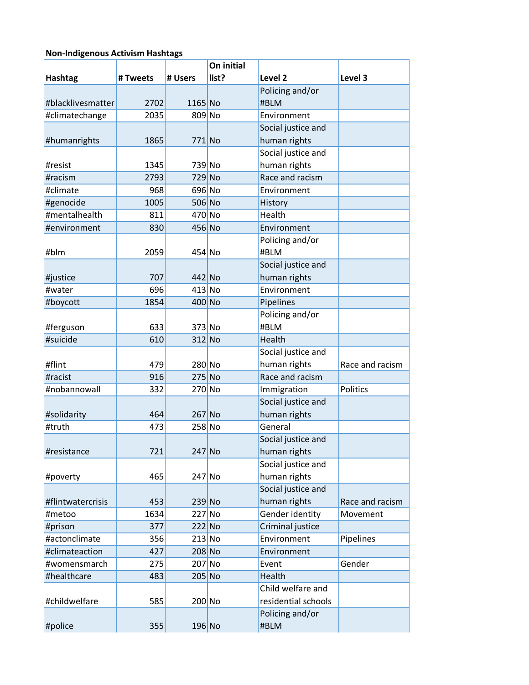### **Non-Indigenous Activism Hashtags**

|                   |          |          | On initial |                     |                 |
|-------------------|----------|----------|------------|---------------------|-----------------|
| <b>Hashtag</b>    | # Tweets | # Users  | list?      | Level <sub>2</sub>  | Level 3         |
|                   |          |          |            | Policing and/or     |                 |
| #blacklivesmatter | 2702     | 1165 No  |            | #BLM                |                 |
| #climatechange    | 2035     | 809 No   |            | Environment         |                 |
|                   |          |          |            | Social justice and  |                 |
| #humanrights      | 1865     | 771 No   |            | human rights        |                 |
|                   |          |          |            | Social justice and  |                 |
| #resist           | 1345     | 739 No   |            | human rights        |                 |
| #racism           | 2793     | 729 No   |            | Race and racism     |                 |
| #climate          | 968      | 696 No   |            | Environment         |                 |
| #genocide         | 1005     | 506 No   |            | History             |                 |
| #mentalhealth     | 811      | 470 No   |            | Health              |                 |
| #environment      | 830      | 456 No   |            | Environment         |                 |
|                   |          |          |            | Policing and/or     |                 |
| #blm              | 2059     | 454 No   |            | #BLM                |                 |
|                   |          |          |            | Social justice and  |                 |
| #justice          | 707      | $442$ No |            | human rights        |                 |
| #water            | 696      | $413$ No |            | Environment         |                 |
| #boycott          | 1854     | 400 No   |            | Pipelines           |                 |
|                   |          |          |            | Policing and/or     |                 |
| #ferguson         | 633      | 373 No   |            | #BLM                |                 |
| #suicide          | 610      | 312 No   |            | Health              |                 |
|                   |          |          |            | Social justice and  |                 |
| #flint            | 479      | 280 No   |            | human rights        | Race and racism |
| #racist           | 916      | 275 No   |            | Race and racism     |                 |
| #nobannowall      | 332      | 270 No   |            | Immigration         | Politics        |
|                   |          |          |            | Social justice and  |                 |
| #solidarity       | 464      | $267$ No |            | human rights        |                 |
| #truth            | 473      | 258 No   |            | General             |                 |
|                   |          |          |            | Social justice and  |                 |
| #resistance       | 721      | 247 No   |            | human rights        |                 |
|                   |          |          |            | Social justice and  |                 |
| #poverty          | 465      | $247$ No |            | human rights        |                 |
|                   |          |          |            | Social justice and  |                 |
| #flintwatercrisis | 453      | $239$ No |            | human rights        | Race and racism |
| #metoo            | 1634     | $227$ No |            | Gender identity     | Movement        |
| #prison           | 377      | $222$ No |            | Criminal justice    |                 |
| #actonclimate     | 356      | $213$ No |            | Environment         | Pipelines       |
| #climateaction    | 427      | 208 No   |            | Environment         |                 |
| #womensmarch      | 275      | 207 No   |            | Event               | Gender          |
| #healthcare       | 483      | $205$ No |            | Health              |                 |
|                   |          |          |            | Child welfare and   |                 |
| #childwelfare     | 585      | 200 No   |            | residential schools |                 |
|                   |          |          |            | Policing and/or     |                 |
| #police           | 355      | 196 No   |            | #BLM                |                 |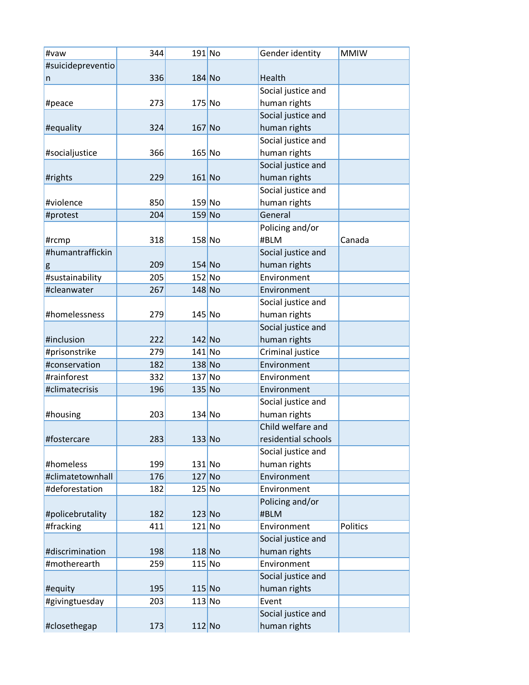| #vaw              | 344 | $191$ No | Gender identity     | <b>MMIW</b> |
|-------------------|-----|----------|---------------------|-------------|
| #suicidepreventio |     |          |                     |             |
| n                 | 336 | $184$ No | Health              |             |
|                   |     |          | Social justice and  |             |
| #peace            | 273 | $175$ No | human rights        |             |
|                   |     |          | Social justice and  |             |
| #equality         | 324 | $167$ No | human rights        |             |
|                   |     |          | Social justice and  |             |
| #socialjustice    | 366 | $165$ No | human rights        |             |
|                   |     |          | Social justice and  |             |
| #rights           | 229 | $161$ No | human rights        |             |
|                   |     |          | Social justice and  |             |
| #violence         | 850 | $159$ No | human rights        |             |
| #protest          | 204 | $159$ No | General             |             |
|                   |     |          | Policing and/or     |             |
| #rcmp             | 318 | $158$ No | #BLM                | Canada      |
| #humantraffickin  |     |          | Social justice and  |             |
| g                 | 209 | $154$ No | human rights        |             |
| #sustainability   | 205 | $152$ No | Environment         |             |
| #cleanwater       | 267 | $148$ No | Environment         |             |
|                   |     |          | Social justice and  |             |
| #homelessness     | 279 | $145$ No | human rights        |             |
|                   |     |          | Social justice and  |             |
| #inclusion        | 222 | $142$ No | human rights        |             |
| #prisonstrike     | 279 | $141$ No | Criminal justice    |             |
| #conservation     | 182 | $138$ No | Environment         |             |
| #rainforest       | 332 | $137$ No | Environment         |             |
| #climatecrisis    | 196 | $135$ No | Environment         |             |
|                   |     |          | Social justice and  |             |
| #housing          | 203 | $134$ No | human rights        |             |
|                   |     |          | Child welfare and   |             |
| #fostercare       | 283 | $133$ No | residential schools |             |
|                   |     |          | Social justice and  |             |
| #homeless         | 199 | $131$ No | human rights        |             |
| #climatetownhall  | 176 | $127$ No | Environment         |             |
| #deforestation    | 182 | $125$ No | Environment         |             |
|                   |     |          | Policing and/or     |             |
| #policebrutality  | 182 | $123$ No | #BLM                |             |
| #fracking         | 411 | $121$ No | Environment         | Politics    |
|                   |     |          | Social justice and  |             |
| #discrimination   | 198 | $118$ No | human rights        |             |
| #motherearth      | 259 | $115$ No | Environment         |             |
|                   |     |          | Social justice and  |             |
| #equity           | 195 | $115$ No | human rights        |             |
| #givingtuesday    | 203 | $113$ No | Event               |             |
|                   |     |          | Social justice and  |             |
|                   |     |          |                     |             |
| #closethegap      | 173 | $112$ No | human rights        |             |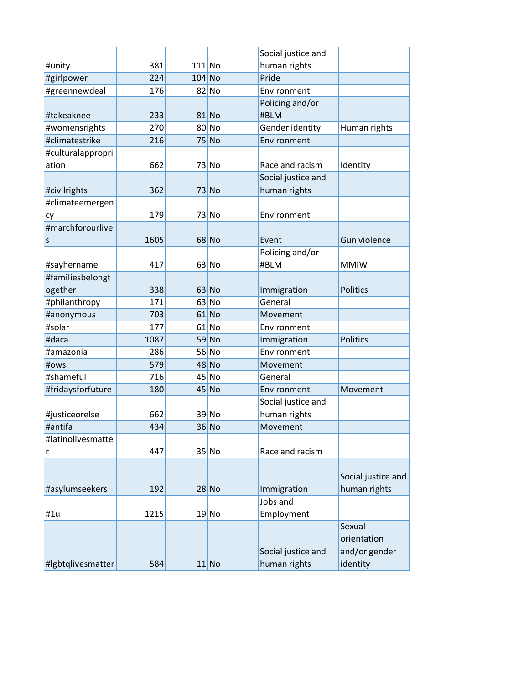|                   |      |          |         | Social justice and |                    |
|-------------------|------|----------|---------|--------------------|--------------------|
| #unity            | 381  | $111$ No |         | human rights       |                    |
| #girlpower        | 224  | $104$ No |         | Pride              |                    |
| #greennewdeal     | 176  |          | $82$ No | Environment        |                    |
|                   |      |          |         | Policing and/or    |                    |
| #takeaknee        | 233  |          | $81$ No | #BLM               |                    |
| #womensrights     | 270  |          | $80$ No | Gender identity    | Human rights       |
| #climatestrike    | 216  |          | 75 No   | Environment        |                    |
| #culturalappropri |      |          |         |                    |                    |
| ation             | 662  |          | $73$ No | Race and racism    | Identity           |
|                   |      |          |         | Social justice and |                    |
| #civilrights      | 362  |          | $73$ No | human rights       |                    |
| #climateemergen   |      |          |         |                    |                    |
| cy                | 179  |          | $73$ No | Environment        |                    |
| #marchforourlive  |      |          |         |                    |                    |
| S                 | 1605 |          | $68$ No | Event              | Gun violence       |
|                   |      |          |         | Policing and/or    |                    |
| #sayhername       | 417  |          | $63$ No | #BLM               | <b>MMIW</b>        |
| #familiesbelongt  |      |          |         |                    |                    |
| ogether           | 338  |          | $63$ No | Immigration        | <b>Politics</b>    |
| #philanthropy     | 171  |          | $63$ No | General            |                    |
| #anonymous        | 703  |          | $61$ No | Movement           |                    |
| #solar            | 177  |          | $61$ No | Environment        |                    |
| #daca             | 1087 |          | 59 No   | Immigration        | <b>Politics</b>    |
| #amazonia         | 286  |          | $56$ No | Environment        |                    |
| #ows              | 579  |          | $48$ No | Movement           |                    |
| #shameful         | 716  |          | $45$ No | General            |                    |
| #fridaysforfuture | 180  |          | $45$ No | Environment        | Movement           |
|                   |      |          |         | Social justice and |                    |
| #justiceorelse    | 662  |          | $39$ No | human rights       |                    |
| #antifa           | 434  |          | $36$ No | Movement           |                    |
| #latinolivesmatte |      |          |         |                    |                    |
| r                 | 447  |          | $35$ No | Race and racism    |                    |
|                   |      |          |         |                    |                    |
|                   |      |          |         |                    | Social justice and |
| #asylumseekers    | 192  |          | $28$ No | Immigration        | human rights       |
|                   |      |          |         | Jobs and           |                    |
| #1u               | 1215 |          | 19 No   | Employment         |                    |
|                   |      |          |         |                    | Sexual             |
|                   |      |          |         |                    | orientation        |
|                   |      |          |         | Social justice and | and/or gender      |
| #Igbtqlivesmatter | 584  |          | $11$ No | human rights       | identity           |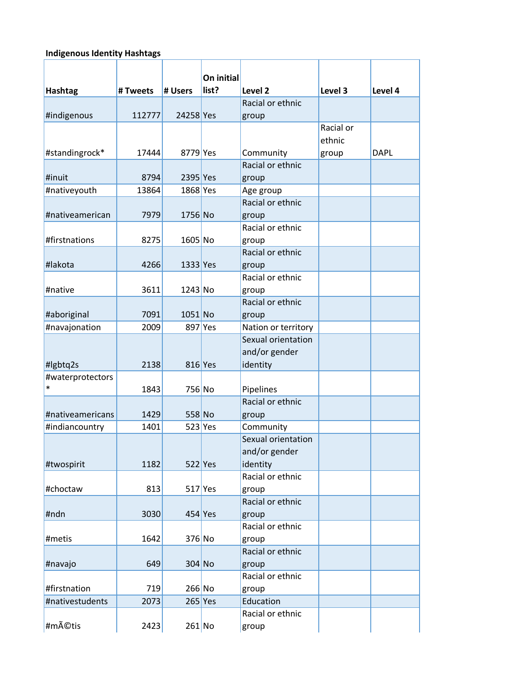# **Indigenous Identity Hashtags**

|                  |          |            | On initial |                                        |           |             |
|------------------|----------|------------|------------|----------------------------------------|-----------|-------------|
| Hashtag          | # Tweets | # Users    | list?      | Level <sub>2</sub><br>Racial or ethnic | Level 3   | Level 4     |
| #indigenous      | 112777   | 24258 Yes  |            |                                        |           |             |
|                  |          |            |            | group                                  | Racial or |             |
|                  |          |            |            |                                        | ethnic    |             |
| #standingrock*   | 17444    | 8779 Yes   |            | Community                              |           | <b>DAPL</b> |
|                  |          |            |            | Racial or ethnic                       | group     |             |
| #inuit           | 8794     | $2395$ Yes |            | group                                  |           |             |
| #nativeyouth     | 13864    | 1868 Yes   |            | Age group                              |           |             |
|                  |          |            |            | Racial or ethnic                       |           |             |
| #nativeamerican  | 7979     | 1756 No    |            | group                                  |           |             |
|                  |          |            |            | Racial or ethnic                       |           |             |
| #firstnations    | 8275     | 1605 No    |            | group                                  |           |             |
|                  |          |            |            | Racial or ethnic                       |           |             |
| #lakota          | 4266     | $1333$ Yes |            | group                                  |           |             |
|                  |          |            |            | Racial or ethnic                       |           |             |
| #native          | 3611     | $1243$ No  |            | group                                  |           |             |
|                  |          |            |            | Racial or ethnic                       |           |             |
| #aboriginal      | 7091     | 1051 No    |            | group                                  |           |             |
| #navajonation    | 2009     |            | 897 Yes    | Nation or territory                    |           |             |
|                  |          |            |            | Sexual orientation                     |           |             |
|                  |          |            |            | and/or gender                          |           |             |
| #lgbtq2s         | 2138     | 816 Yes    |            | identity                               |           |             |
| #waterprotectors |          |            |            |                                        |           |             |
| $\ast$           | 1843     | 756 No     |            | Pipelines                              |           |             |
|                  |          |            |            | Racial or ethnic                       |           |             |
| #nativeamericans | 1429     | 558 No     |            | group                                  |           |             |
| #indiancountry   | 1401     |            | $523$ Yes  | Community                              |           |             |
|                  |          |            |            | Sexual orientation                     |           |             |
|                  |          |            |            | and/or gender                          |           |             |
| #twospirit       | 1182     |            | $522$ Yes  | identity                               |           |             |
|                  |          |            |            | Racial or ethnic                       |           |             |
| #choctaw         | 813      |            | $517$ Yes  | group                                  |           |             |
|                  |          |            |            | Racial or ethnic                       |           |             |
| #ndn             | 3030     |            | $454$ Yes  | group                                  |           |             |
|                  |          |            |            | Racial or ethnic                       |           |             |
| #metis           | 1642     | $376$ No   |            | group                                  |           |             |
|                  |          |            |            | Racial or ethnic                       |           |             |
| #navajo          | 649      | $304$ No   |            | group                                  |           |             |
|                  |          |            |            | Racial or ethnic                       |           |             |
| #firstnation     | 719      | $266$ No   |            | group                                  |           |             |
| #nativestudents  | 2073     |            | $265$ Yes  | Education                              |           |             |
|                  |          |            |            | Racial or ethnic                       |           |             |
| #métis           | 2423     | $261$ No   |            | group                                  |           |             |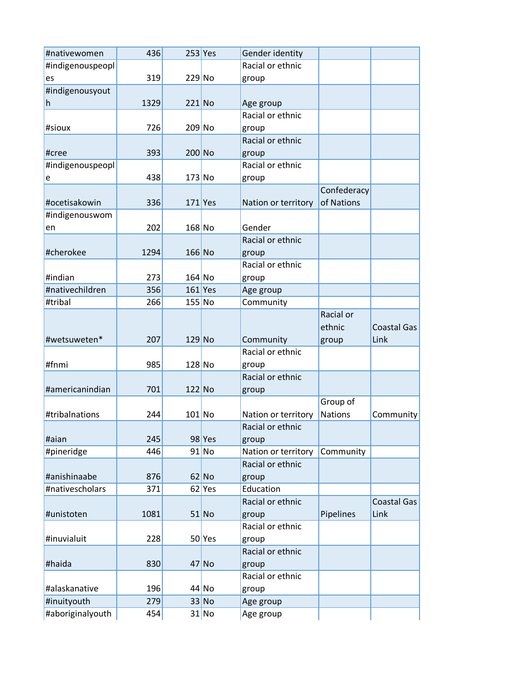| #nativewomen     | 436  | $253$ Yes |          | Gender identity     |                |                    |
|------------------|------|-----------|----------|---------------------|----------------|--------------------|
| #indigenouspeopl |      |           |          | Racial or ethnic    |                |                    |
| es               | 319  | $229$ No  |          | group               |                |                    |
| #indigenousyout  |      |           |          |                     |                |                    |
| h                | 1329 | $221$ No  |          | Age group           |                |                    |
|                  |      |           |          | Racial or ethnic    |                |                    |
| #sioux           | 726  | 209 No    |          | group               |                |                    |
|                  |      |           |          | Racial or ethnic    |                |                    |
| #cree            | 393  | $200$ No  |          | group               |                |                    |
| #indigenouspeopl |      |           |          | Racial or ethnic    |                |                    |
| e                | 438  | $173$ No  |          | group               |                |                    |
|                  |      |           |          |                     | Confederacy    |                    |
| #ocetisakowin    | 336  | $171$ Yes |          | Nation or territory | of Nations     |                    |
| #indigenouswom   |      |           |          |                     |                |                    |
| en               | 202  | $168$ No  |          | Gender              |                |                    |
|                  |      |           |          | Racial or ethnic    |                |                    |
| #cherokee        | 1294 | $166$ No  |          | group               |                |                    |
|                  |      |           |          | Racial or ethnic    |                |                    |
| #indian          | 273  | $164$ No  |          | group               |                |                    |
| #nativechildren  | 356  | $161$ Yes |          | Age group           |                |                    |
| #tribal          | 266  | $155$ No  |          | Community           |                |                    |
|                  |      |           |          |                     | Racial or      |                    |
|                  |      |           |          |                     | ethnic         |                    |
|                  |      |           |          |                     |                | <b>Coastal Gas</b> |
| #wetsuweten*     | 207  | $129$ No  |          | Community           | group          | Link               |
|                  |      |           |          | Racial or ethnic    |                |                    |
| #fnmi            | 985  | $128$ No  |          | group               |                |                    |
|                  |      |           |          | Racial or ethnic    |                |                    |
| #americanindian  | 701  | 122 No    |          | group               |                |                    |
|                  |      |           |          |                     | Group of       |                    |
| #tribalnations   | 244  | $101$ No  |          | Nation or territory | <b>Nations</b> | Community          |
|                  |      |           |          | Racial or ethnic    |                |                    |
| #aian            | 245  |           | $98$ Yes | group               |                |                    |
| #pineridge       | 446  |           | $91$ No  | Nation or territory | Community      |                    |
|                  |      |           |          | Racial or ethnic    |                |                    |
| #anishinaabe     | 876  |           | $62$ No  | group               |                |                    |
| #nativescholars  | 371  |           | $62$ Yes | Education           |                |                    |
|                  |      |           |          | Racial or ethnic    |                | <b>Coastal Gas</b> |
| #unistoten       | 1081 |           | $51$ No  | group               | Pipelines      | Link               |
|                  |      |           |          | Racial or ethnic    |                |                    |
| #inuvialuit      | 228  |           | 50 Yes   | group               |                |                    |
|                  |      |           |          | Racial or ethnic    |                |                    |
| #haida           | 830  |           | $47$ No  | group               |                |                    |
|                  |      |           |          | Racial or ethnic    |                |                    |
| #alaskanative    | 196  |           | $44$ No  | group               |                |                    |
| #inuityouth      | 279  |           | 33 No    | Age group           |                |                    |
| #aboriginalyouth | 454  |           | $31$ No  | Age group           |                |                    |
|                  |      |           |          |                     |                |                    |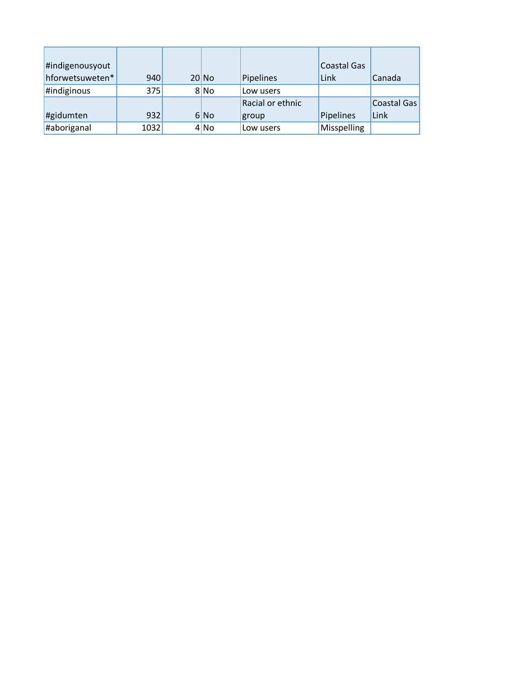| #indigenousyout |      |         |                  | Coastal Gas |             |
|-----------------|------|---------|------------------|-------------|-------------|
| hforwetsuweten* | 940  | $20$ No | Pipelines        | Link        | Canada      |
| #indiginous     | 375  | 8 No    | Low users        |             |             |
|                 |      |         | Racial or ethnic |             | Coastal Gas |
| #gidumten       | 932  | 6 No    | group            | Pipelines   | Link        |
| #aboriganal     | 1032 | 4 No    | Low users        | Misspelling |             |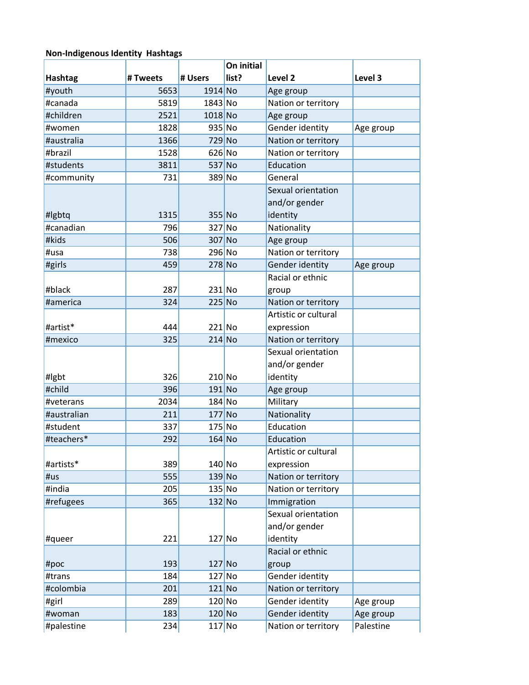# **Non-Indigenous Identity Hashtags**

|             |          |           | On initial |                      |           |
|-------------|----------|-----------|------------|----------------------|-----------|
| Hashtag     | # Tweets | # Users   | list?      | Level <sub>2</sub>   | Level 3   |
| #youth      | 5653     | $1914$ No |            | Age group            |           |
| #canada     | 5819     | 1843 No   |            | Nation or territory  |           |
| #children   | 2521     | $1018$ No |            | Age group            |           |
| #women      | 1828     | 935 No    |            | Gender identity      | Age group |
| #australia  | 1366     | 729 No    |            | Nation or territory  |           |
| #brazil     | 1528     | $626$ No  |            | Nation or territory  |           |
| #students   | 3811     | 537 No    |            | Education            |           |
| #community  | 731      | 389 No    |            | General              |           |
|             |          |           |            | Sexual orientation   |           |
|             |          |           |            | and/or gender        |           |
| #lgbtq      | 1315     | 355 No    |            | identity             |           |
| #canadian   | 796      | 327 No    |            | Nationality          |           |
| #kids       | 506      | 307 No    |            | Age group            |           |
| #usa        | 738      | 296 No    |            | Nation or territory  |           |
| #girls      | 459      | 278 No    |            | Gender identity      | Age group |
|             |          |           |            | Racial or ethnic     |           |
| #black      | 287      | $231$ No  |            | group                |           |
| #america    | 324      | $225$ No  |            | Nation or territory  |           |
|             |          |           |            | Artistic or cultural |           |
| #artist*    | 444      | 221 No    |            | expression           |           |
| #mexico     | 325      | $214$ No  |            | Nation or territory  |           |
|             |          |           |            | Sexual orientation   |           |
|             |          |           |            | and/or gender        |           |
| #lgbt       | 326      | $210$ No  |            | identity             |           |
| #child      | 396      | $191$ No  |            | Age group            |           |
| #veterans   | 2034     | 184 No    |            | Military             |           |
| #australian | 211      | 177 No    |            | Nationality          |           |
| #student    | 337      | $175$ No  |            | Education            |           |
| #teachers*  | 292      | $164$ No  |            | Education            |           |
|             |          |           |            | Artistic or cultural |           |
| #artists*   | 389      | $140$ No  |            | expression           |           |
| #us         | 555      | $139$ No  |            | Nation or territory  |           |
| #india      | 205      | $135$ No  |            | Nation or territory  |           |
| #refugees   | 365      | $132$ No  |            | Immigration          |           |
|             |          |           |            | Sexual orientation   |           |
|             |          |           |            | and/or gender        |           |
| #queer      | 221      | $127$ No  |            | identity             |           |
|             |          |           |            | Racial or ethnic     |           |
| #poc        | 193      | $127$ No  |            | group                |           |
| #trans      | 184      | $127$ No  |            | Gender identity      |           |
| #colombia   | 201      | $121$ No  |            | Nation or territory  |           |
| #girl       | 289      | $120$ No  |            | Gender identity      | Age group |
| #woman      | 183      | $120$ No  |            | Gender identity      | Age group |
| #palestine  | 234      | $117$ No  |            | Nation or territory  | Palestine |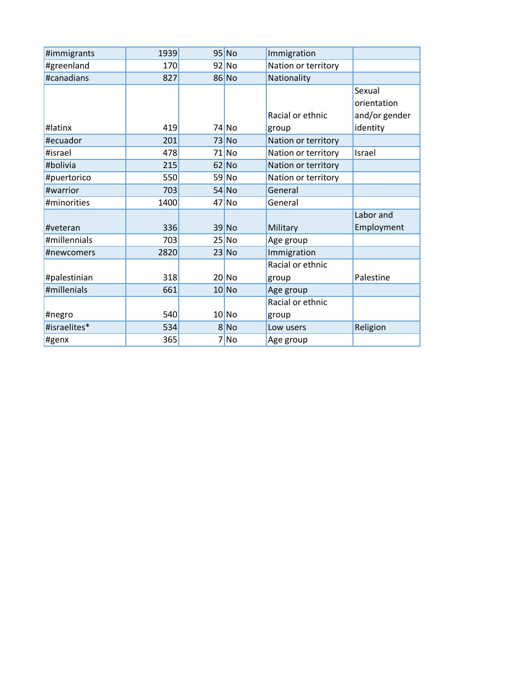| #immigrants  | 1939 | $95$ No | Immigration         |               |
|--------------|------|---------|---------------------|---------------|
| #greenland   | 170  | $92$ No | Nation or territory |               |
| #canadians   | 827  | $86$ No | Nationality         |               |
|              |      |         |                     | Sexual        |
|              |      |         |                     | orientation   |
|              |      |         | Racial or ethnic    | and/or gender |
| #latinx      | 419  | 74 No   | group               | identity      |
| #ecuador     | 201  | $73$ No | Nation or territory |               |
| #israel      | 478  | $71$ No | Nation or territory | Israel        |
| #bolivia     | 215  | $62$ No | Nation or territory |               |
| #puertorico  | 550  | 59 No   | Nation or territory |               |
| #warrior     | 703  | $54$ No | General             |               |
| #minorities  | 1400 | $47$ No | General             |               |
|              |      |         |                     | Labor and     |
| #veteran     | 336  | $39$ No | Military            | Employment    |
| #millennials | 703  | $25$ No | Age group           |               |
| #newcomers   | 2820 | $23$ No | Immigration         |               |
|              |      |         | Racial or ethnic    |               |
| #palestinian | 318  | $20$ No | group               | Palestine     |
| #millenials  | 661  | $10$ No | Age group           |               |
|              |      |         | Racial or ethnic    |               |
| #negro       | 540  | $10$ No | group               |               |
| #israelites* | 534  | 8 No    | Low users           | Religion      |
| #genx        | 365  | 7 No    | Age group           |               |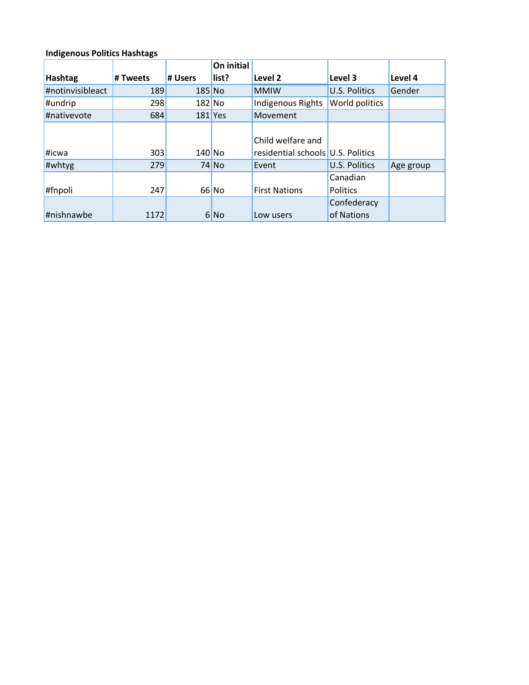# **Indigenous Politics Hashtags**

|                  |          |          | On initial |                                   |                      |           |
|------------------|----------|----------|------------|-----------------------------------|----------------------|-----------|
| Hashtag          | # Tweets | # Users  | list?      | Level 2                           | Level 3              | Level 4   |
| #notinvisibleact | 189      | $185$ No |            | <b>MMIW</b>                       | <b>U.S. Politics</b> | Gender    |
| #undrip          | 298      | $182$ No |            | <b>Indigenous Rights</b>          | World politics       |           |
| #nativevote      | 684      |          | $181$ Yes  | Movement                          |                      |           |
|                  |          |          |            |                                   |                      |           |
|                  |          |          |            | Child welfare and                 |                      |           |
| #icwa            | 303      | $140$ No |            | residential schools U.S. Politics |                      |           |
| #whtyg           | 279      |          | 74 No      | Event                             | <b>U.S. Politics</b> | Age group |
|                  |          |          |            |                                   | Canadian             |           |
| #fnpoli          | 247      |          | $66$ No    | <b>First Nations</b>              | <b>Politics</b>      |           |
|                  |          |          |            |                                   | Confederacy          |           |
| #nishnawbe       | 1172     |          | 6 No       | Low users                         | of Nations           |           |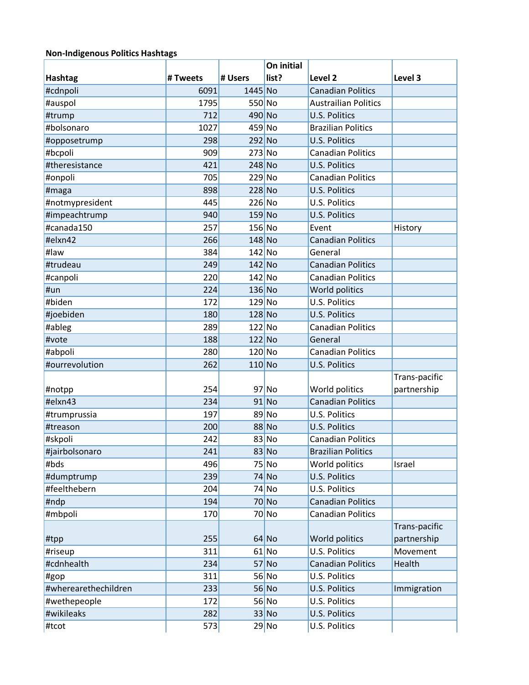### **Non-Indigenous Politics Hashtags**

|                      |          |          | On initial |                             |               |
|----------------------|----------|----------|------------|-----------------------------|---------------|
| <b>Hashtag</b>       | # Tweets | # Users  | list?      | Level <sub>2</sub>          | Level 3       |
| #cdnpoli             | 6091     | 1445 No  |            | <b>Canadian Politics</b>    |               |
| #auspol              | 1795     | 550 No   |            | <b>Austrailian Politics</b> |               |
| #trump               | 712      | 490 No   |            | U.S. Politics               |               |
| #bolsonaro           | 1027     | 459 No   |            | <b>Brazilian Politics</b>   |               |
| #opposetrump         | 298      | 292 No   |            | <b>U.S. Politics</b>        |               |
| #bcpoli              | 909      | $273$ No |            | <b>Canadian Politics</b>    |               |
| #theresistance       | 421      | 248 No   |            | <b>U.S. Politics</b>        |               |
| #onpoli              | 705      | $229$ No |            | <b>Canadian Politics</b>    |               |
| #maga                | 898      | 228 No   |            | <b>U.S. Politics</b>        |               |
| #notmypresident      | 445      | $226$ No |            | U.S. Politics               |               |
| #impeachtrump        | 940      | $159$ No |            | <b>U.S. Politics</b>        |               |
| #canada150           | 257      | 156 No   |            | Event                       | History       |
| #elxn42              | 266      | 148 No   |            | <b>Canadian Politics</b>    |               |
| #law                 | 384      | $142$ No |            | General                     |               |
| #trudeau             | 249      | $142$ No |            | <b>Canadian Politics</b>    |               |
| #canpoli             | 220      | $142$ No |            | <b>Canadian Politics</b>    |               |
| #un                  | 224      | $136$ No |            | World politics              |               |
| #biden               | 172      | $129$ No |            | <b>U.S. Politics</b>        |               |
| #joebiden            | 180      | $128$ No |            | <b>U.S. Politics</b>        |               |
| #ableg               | 289      | $122$ No |            | <b>Canadian Politics</b>    |               |
| #vote                | 188      | $122$ No |            | General                     |               |
| #abpoli              | 280      | $120$ No |            | <b>Canadian Politics</b>    |               |
| #ourrevolution       | 262      | $110$ No |            | U.S. Politics               |               |
|                      |          |          |            |                             | Trans-pacific |
| #notpp               | 254      |          | $97$ No    | World politics              | partnership   |
| #elxn43              | 234      |          | $91$ No    | <b>Canadian Politics</b>    |               |
| #trumprussia         | 197      |          | $89$ No    | U.S. Politics               |               |
| #treason             | 200      |          | 88 No      | <b>U.S. Politics</b>        |               |
| #skpoli              | 242      |          | 83 No      | <b>Canadian Politics</b>    |               |
| #jairbolsonaro       | 241      |          | 83 No      | <b>Brazilian Politics</b>   |               |
| #bds                 | 496      |          | $75$ No    | World politics              | Israel        |
| #dumptrump           | 239      |          | $74$ No    | <b>U.S. Politics</b>        |               |
| #feelthebern         | 204      |          | $74$ No    | U.S. Politics               |               |
| #ndp                 | 194      |          | $70$ No    | <b>Canadian Politics</b>    |               |
| #mbpoli              | 170      |          | $70$ No    | <b>Canadian Politics</b>    |               |
|                      |          |          |            |                             | Trans-pacific |
| #tpp                 | 255      |          | $64$ No    | World politics              | partnership   |
| #riseup              | 311      |          | $61$ No    | U.S. Politics               | Movement      |
| #cdnhealth           | 234      |          | $57$ No    | <b>Canadian Politics</b>    | Health        |
| #gop                 | 311      |          | $56$ No    | U.S. Politics               |               |
| #wherearethechildren | 233      |          | $56$ No    | <b>U.S. Politics</b>        | Immigration   |
| #wethepeople         | 172      |          | 56 No      | U.S. Politics               |               |
| #wikileaks           | 282      |          | 33 No      | U.S. Politics               |               |
| #tcot                | 573      |          | 29 No      | U.S. Politics               |               |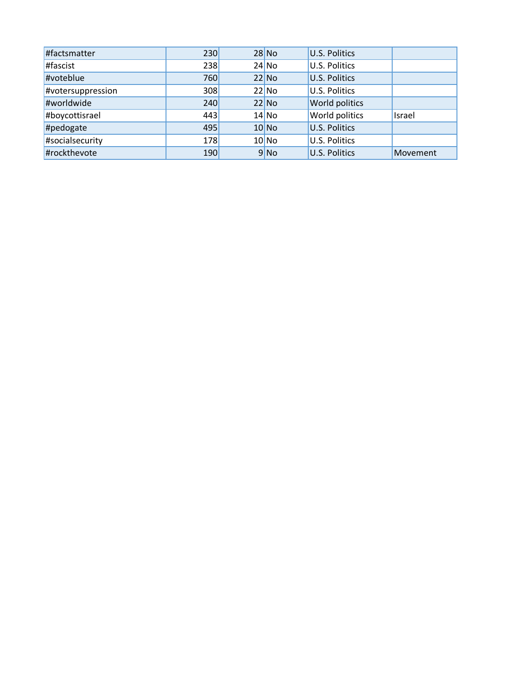| #factsmatter      | 230 | $28$ No | <b>U.S. Politics</b> |          |
|-------------------|-----|---------|----------------------|----------|
| #fascist          | 238 | $24$ No | U.S. Politics        |          |
| #voteblue         | 760 | $22$ No | <b>U.S. Politics</b> |          |
| #votersuppression | 308 | $22$ No | <b>U.S. Politics</b> |          |
| #worldwide        | 240 | $22$ No | World politics       |          |
| #boycottisrael    | 443 | $14$ No | World politics       | Israel   |
| #pedogate         | 495 | $10$ No | <b>U.S. Politics</b> |          |
| #socialsecurity   | 178 | $10$ No | <b>U.S. Politics</b> |          |
| #rockthevote      | 190 | 9 No    | <b>U.S. Politics</b> | Movement |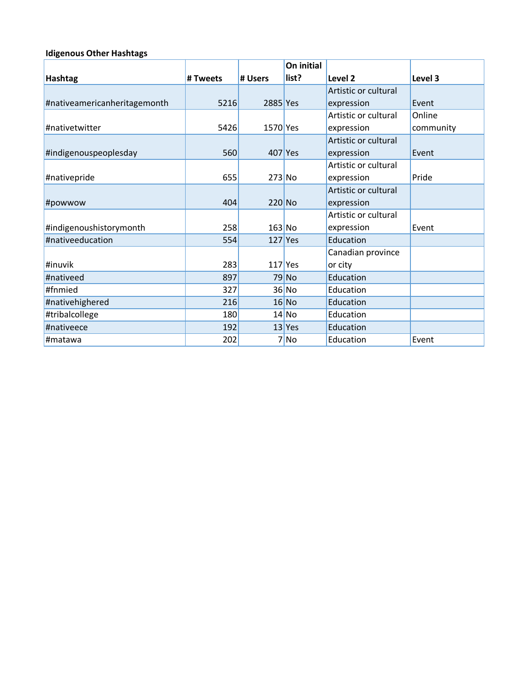### **Idigenous Other Hashtags**

|                              |          |           | On initial |                      |           |
|------------------------------|----------|-----------|------------|----------------------|-----------|
| <b>Hashtag</b>               | # Tweets | # Users   | list?      | Level <sub>2</sub>   | Level 3   |
|                              |          |           |            | Artistic or cultural |           |
| #nativeamericanheritagemonth | 5216     | 2885 Yes  |            | expression           | Event     |
|                              |          |           |            | Artistic or cultural | Online    |
| #nativetwitter               | 5426     | 1570 Yes  |            | expression           | community |
|                              |          |           |            | Artistic or cultural |           |
| #indigenouspeoplesday        | 560      | 407 Yes   |            | expression           | Event     |
|                              |          |           |            | Artistic or cultural |           |
| #nativepride                 | 655      | $273$ No  |            | expression           | Pride     |
|                              |          |           |            | Artistic or cultural |           |
| #powwow                      | 404      | $220$ No  |            | expression           |           |
|                              |          |           |            | Artistic or cultural |           |
| #indigenoushistorymonth      | 258      | $163$ No  |            | expression           | Event     |
| #nativeeducation             | 554      | $127$ Yes |            | Education            |           |
|                              |          |           |            | Canadian province    |           |
| #inuvik                      | 283      | $117$ Yes |            | or city              |           |
| #nativeed                    | 897      |           | $79$ No    | Education            |           |
| #fnmied                      | 327      |           | $36$ No    | Education            |           |
| #nativehighered              | 216      |           | $16$ No    | Education            |           |
| #tribalcollege               | 180      |           | $14$ No    | Education            |           |
| #nativeece                   | 192      |           | $13$ Yes   | Education            |           |
| #matawa                      | 202      |           | 7 No       | Education            | Event     |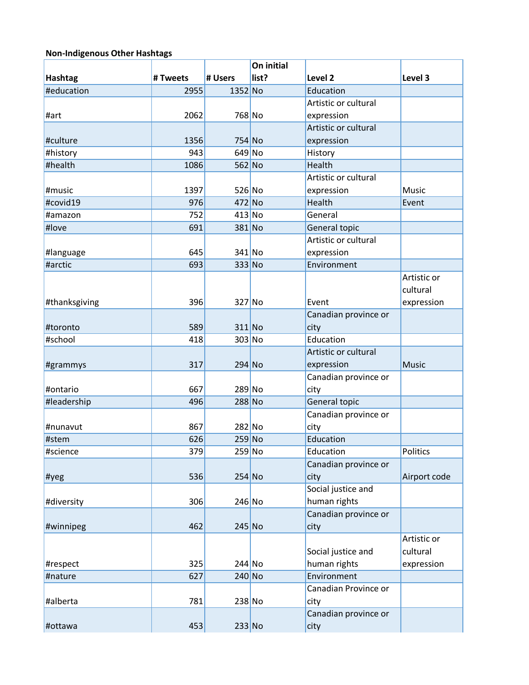# **Non-Indigenous Other Hashtags**

|                |          |          | On initial |                      |              |
|----------------|----------|----------|------------|----------------------|--------------|
| <b>Hashtag</b> | # Tweets | # Users  | list?      | Level 2              | Level 3      |
| #education     | 2955     | 1352 No  |            | Education            |              |
|                |          |          |            | Artistic or cultural |              |
| #art           | 2062     | 768 No   |            | expression           |              |
|                |          |          |            | Artistic or cultural |              |
| #culture       | 1356     | 754 No   |            | expression           |              |
| #history       | 943      | $649$ No |            | History              |              |
| #health        | 1086     | $562$ No |            | Health               |              |
|                |          |          |            | Artistic or cultural |              |
| #music         | 1397     | $526$ No |            | expression           | Music        |
| #covid19       | 976      | 472 No   |            | Health               | Event        |
| #amazon        | 752      | $413$ No |            | General              |              |
| #love          | 691      | 381 No   |            | General topic        |              |
|                |          |          |            | Artistic or cultural |              |
| #language      | 645      | 341 No   |            | expression           |              |
| #arctic        | 693      | 333 No   |            | Environment          |              |
|                |          |          |            |                      | Artistic or  |
|                |          |          |            |                      | cultural     |
| #thanksgiving  | 396      | 327 No   |            | Event                | expression   |
|                |          |          |            | Canadian province or |              |
| #toronto       | 589      | $311$ No |            | city                 |              |
| #school        | 418      | 303 No   |            | Education            |              |
|                |          |          |            | Artistic or cultural |              |
| #grammys       | 317      | $294$ No |            | expression           | <b>Music</b> |
|                |          |          |            | Canadian province or |              |
| #ontario       | 667      | 289 No   |            | city                 |              |
| #leadership    | 496      | 288 No   |            | General topic        |              |
|                |          |          |            | Canadian province or |              |
| #nunavut       | 867      | 282 No   |            | city                 |              |
| #stem          | 626      | $259$ No |            | Education            |              |
| #science       | 379      | $259$ No |            | Education            | Politics     |
|                |          |          |            | Canadian province or |              |
| #yeg           | 536      | $254$ No |            | city                 | Airport code |
|                |          |          |            | Social justice and   |              |
| #diversity     | 306      | $246$ No |            | human rights         |              |
|                |          |          |            | Canadian province or |              |
| #winnipeg      | 462      | $245$ No |            | city                 |              |
|                |          |          |            |                      | Artistic or  |
|                |          |          |            | Social justice and   | cultural     |
| #respect       | 325      | $244$ No |            | human rights         | expression   |
| #nature        | 627      | $240$ No |            | Environment          |              |
|                |          |          |            | Canadian Province or |              |
| #alberta       | 781      | $238$ No |            | city                 |              |
|                |          |          |            | Canadian province or |              |
| #ottawa        | 453      | $233$ No |            | city                 |              |
|                |          |          |            |                      |              |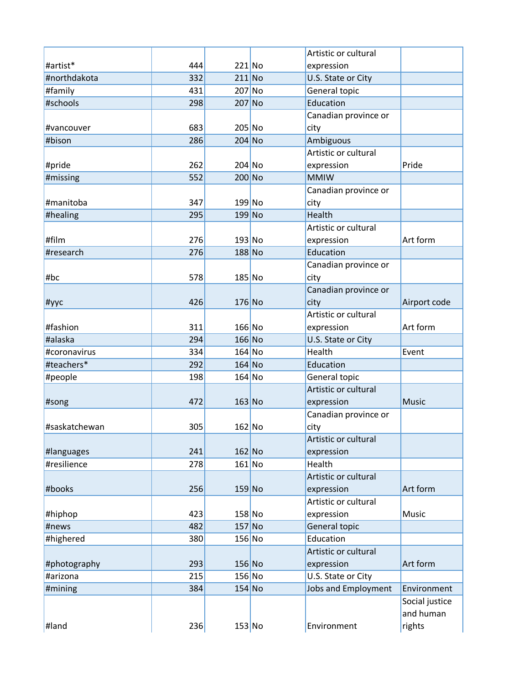|                           |     |          | Artistic or cultural         |                |
|---------------------------|-----|----------|------------------------------|----------------|
| #artist*                  | 444 | $221$ No | expression                   |                |
| #northdakota              | 332 | $211$ No | U.S. State or City           |                |
| #family                   | 431 | 207 No   | General topic                |                |
| #schools                  | 298 | $207$ No | Education                    |                |
|                           |     |          | Canadian province or         |                |
| #vancouver                | 683 | 205 No   | city                         |                |
| #bison                    | 286 | 204 No   | Ambiguous                    |                |
|                           |     |          | Artistic or cultural         |                |
| #pride                    | 262 | 204 No   | expression                   | Pride          |
| #missing                  | 552 | $200$ No | <b>MMIW</b>                  |                |
|                           |     |          | Canadian province or         |                |
| #manitoba                 | 347 | $199$ No | city                         |                |
| #healing                  | 295 | $199$ No | Health                       |                |
|                           |     |          | Artistic or cultural         |                |
| #film                     | 276 | $193$ No | expression                   | Art form       |
| #research                 | 276 | 188 No   | Education                    |                |
|                           |     |          | Canadian province or         |                |
| #bc                       | 578 | $185$ No | city                         |                |
|                           |     |          | Canadian province or         |                |
| #уус                      | 426 | $176$ No | city                         | Airport code   |
|                           |     |          | Artistic or cultural         |                |
| #fashion                  | 311 | $166$ No | expression                   | Art form       |
| #alaska                   | 294 | $166$ No | U.S. State or City           |                |
| #coronavirus              | 334 | $164$ No | Health                       | Event          |
| #teachers*                | 292 | $164$ No | Education                    |                |
| #people                   | 198 | $164$ No | General topic                |                |
|                           |     |          | Artistic or cultural         |                |
| #song                     | 472 | $163$ No | expression                   | <b>Music</b>   |
|                           |     |          | Canadian province or         |                |
| #saskatchewan             | 305 | $162$ No | city<br>Artistic or cultural |                |
|                           | 241 | $162$ No | expression                   |                |
| #languages<br>#resilience | 278 | $161$ No | Health                       |                |
|                           |     |          | Artistic or cultural         |                |
| #books                    | 256 | $159$ No | expression                   | Art form       |
|                           |     |          | Artistic or cultural         |                |
| #hiphop                   | 423 | $158$ No | expression                   | Music          |
| #news                     | 482 | $157$ No | General topic                |                |
| #highered                 | 380 | $156$ No | Education                    |                |
|                           |     |          | Artistic or cultural         |                |
| #photography              | 293 | $156$ No | expression                   | Art form       |
| #arizona                  | 215 | $156$ No | U.S. State or City           |                |
| #mining                   | 384 | $154$ No | Jobs and Employment          | Environment    |
|                           |     |          |                              | Social justice |
|                           |     |          |                              | and human      |
| #land                     | 236 | $153$ No | Environment                  | rights         |
|                           |     |          |                              |                |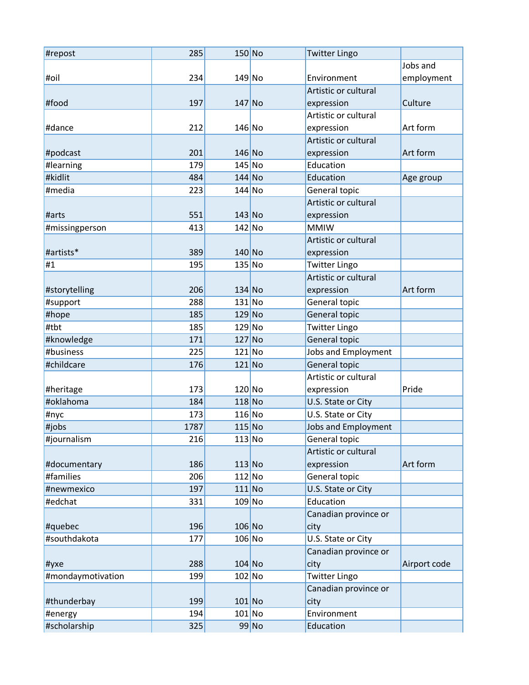| #repost           | 285  | $150$ No |       | <b>Twitter Lingo</b> |              |
|-------------------|------|----------|-------|----------------------|--------------|
|                   |      |          |       |                      | Jobs and     |
| #oil              | 234  | $149$ No |       | Environment          | employment   |
|                   |      |          |       | Artistic or cultural |              |
| #food             | 197  | $147$ No |       | expression           | Culture      |
|                   |      |          |       | Artistic or cultural |              |
| #dance            | 212  | $146$ No |       | expression           | Art form     |
|                   |      |          |       | Artistic or cultural |              |
| #podcast          | 201  | $146$ No |       | expression           | Art form     |
| #learning         | 179  | $145$ No |       | Education            |              |
| #kidlit           | 484  | $144$ No |       | Education            | Age group    |
| #media            | 223  | $144$ No |       |                      |              |
|                   |      |          |       | General topic        |              |
|                   |      |          |       | Artistic or cultural |              |
| #arts             | 551  | $143$ No |       | expression           |              |
| #missingperson    | 413  | $142$ No |       | <b>MMIW</b>          |              |
|                   |      |          |       | Artistic or cultural |              |
| #artists*         | 389  | $140$ No |       | expression           |              |
| #1                | 195  | $135$ No |       | <b>Twitter Lingo</b> |              |
|                   |      |          |       | Artistic or cultural |              |
| #storytelling     | 206  | $134$ No |       | expression           | Art form     |
| #support          | 288  | $131$ No |       | General topic        |              |
| #hope             | 185  | $129$ No |       | General topic        |              |
| #tbt              | 185  | $129$ No |       | <b>Twitter Lingo</b> |              |
| #knowledge        | 171  | $127$ No |       | General topic        |              |
| #business         | 225  | $121$ No |       | Jobs and Employment  |              |
| #childcare        | 176  | $121$ No |       | General topic        |              |
|                   |      |          |       | Artistic or cultural |              |
| #heritage         | 173  | $120$ No |       | expression           | Pride        |
| #oklahoma         | 184  | $118$ No |       | U.S. State or City   |              |
| #nyc              | 173  | $116$ No |       | U.S. State or City   |              |
| #jobs             | 1787 | $115$ No |       | Jobs and Employment  |              |
| #journalism       | 216  | $113$ No |       | General topic        |              |
|                   |      |          |       | Artistic or cultural |              |
| #documentary      | 186  | $113$ No |       | expression           | Art form     |
| #families         | 206  | $112$ No |       | General topic        |              |
| #newmexico        | 197  | $111$ No |       | U.S. State or City   |              |
| #edchat           | 331  | $109$ No |       | Education            |              |
|                   |      |          |       |                      |              |
|                   |      |          |       | Canadian province or |              |
| #quebec           | 196  | $106$ No |       | city                 |              |
| #southdakota      | 177  | $106$ No |       | U.S. State or City   |              |
|                   |      |          |       | Canadian province or |              |
| #yxe              | 288  | $104$ No |       | city                 | Airport code |
| #mondaymotivation | 199  | $102$ No |       | <b>Twitter Lingo</b> |              |
|                   |      |          |       | Canadian province or |              |
| #thunderbay       | 199  | $101$ No |       | city                 |              |
| #energy           | 194  | $101$ No |       | Environment          |              |
| #scholarship      | 325  |          | 99 No | Education            |              |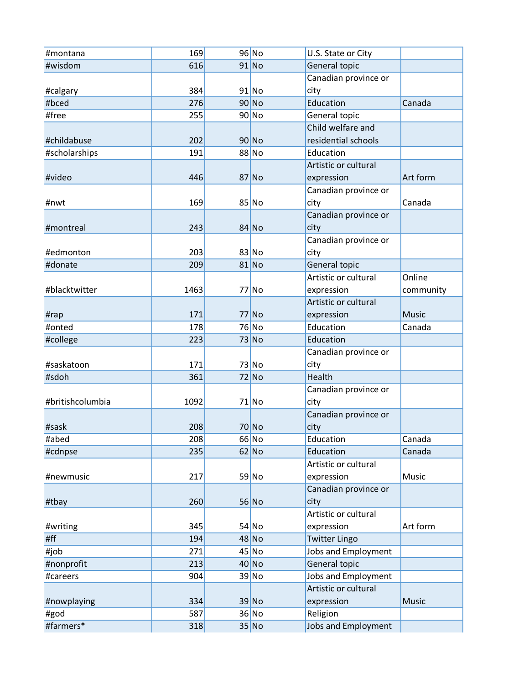| #montana         | 169  | $96$ No | U.S. State or City   |              |
|------------------|------|---------|----------------------|--------------|
| #wisdom          | 616  | $91$ No | General topic        |              |
|                  |      |         | Canadian province or |              |
| #calgary         | 384  | $91$ No | city                 |              |
| #bced            | 276  | $90$ No | Education            | Canada       |
| #free            | 255  | $90$ No | General topic        |              |
|                  |      |         | Child welfare and    |              |
| #childabuse      | 202  | $90$ No | residential schools  |              |
| #scholarships    | 191  | 88 No   | Education            |              |
|                  |      |         | Artistic or cultural |              |
| #video           | 446  | $87$ No | expression           | Art form     |
|                  |      |         | Canadian province or |              |
| #nwt             | 169  | $85$ No | city                 | Canada       |
|                  |      |         | Canadian province or |              |
| #montreal        | 243  | $84$ No | city                 |              |
|                  |      |         | Canadian province or |              |
| #edmonton        | 203  | $83$ No | city                 |              |
| #donate          | 209  | $81$ No | General topic        |              |
|                  |      |         | Artistic or cultural | Online       |
| #blacktwitter    | 1463 | $77$ No | expression           | community    |
|                  |      |         | Artistic or cultural |              |
| #rap             | 171  | $77$ No | expression           | <b>Music</b> |
| #onted           | 178  | 76 No   | Education            | Canada       |
| #college         | 223  | $73$ No | Education            |              |
|                  |      |         | Canadian province or |              |
| #saskatoon       | 171  | $73$ No | city                 |              |
| #sdoh            | 361  | $72$ No | Health               |              |
|                  |      |         | Canadian province or |              |
| #britishcolumbia | 1092 | $71$ No | city                 |              |
|                  |      |         | Canadian province or |              |
| #sask            | 208  | $70$ No | city                 |              |
| #abed            | 208  | $66$ No | Education            | Canada       |
| #cdnpse          | 235  | $62$ No | Education            | Canada       |
|                  |      |         | Artistic or cultural |              |
| #newmusic        | 217  | 59 No   | expression           | Music        |
|                  |      |         | Canadian province or |              |
| #tbay            | 260  | $56$ No | city                 |              |
|                  |      |         | Artistic or cultural |              |
| #writing         | 345  | $54$ No | expression           | Art form     |
| #ff              | 194  | $48$ No | <b>Twitter Lingo</b> |              |
| #job             | 271  | $45$ No | Jobs and Employment  |              |
| #nonprofit       | 213  | $40$ No | General topic        |              |
| #careers         | 904  | 39 No   | Jobs and Employment  |              |
|                  |      |         | Artistic or cultural |              |
| #nowplaying      | 334  | 39 No   | expression           | <b>Music</b> |
| #god             | 587  | $36$ No | Religion             |              |
| #farmers*        | 318  | $35$ No | Jobs and Employment  |              |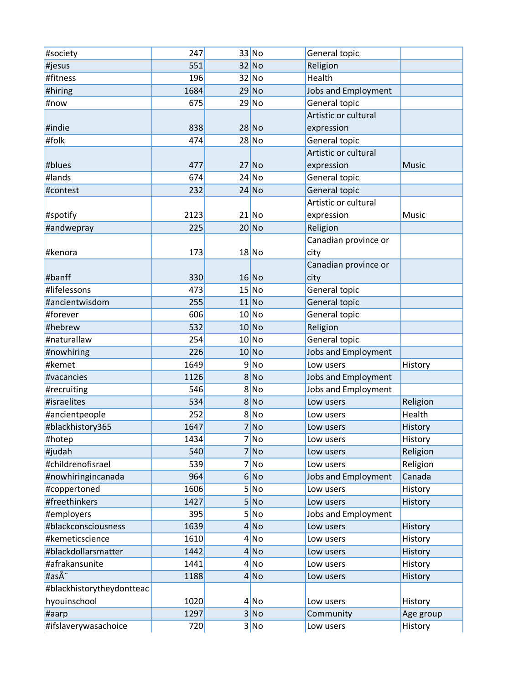| #society                  | 247  | $33$ No | General topic              |              |
|---------------------------|------|---------|----------------------------|--------------|
| #jesus                    | 551  | $32$ No | Religion                   |              |
| #fitness                  | 196  | $32$ No | Health                     |              |
| #hiring                   | 1684 | $29$ No | Jobs and Employment        |              |
| #now                      | 675  | $29$ No | General topic              |              |
|                           |      |         | Artistic or cultural       |              |
| #indie                    | 838  | $28$ No | expression                 |              |
| #folk                     | 474  | $28$ No | General topic              |              |
|                           |      |         | Artistic or cultural       |              |
| #blues                    | 477  | $27$ No | expression                 | <b>Music</b> |
| #lands                    | 674  | $24$ No | General topic              |              |
| #contest                  | 232  | $24$ No | General topic              |              |
|                           |      |         | Artistic or cultural       |              |
| #spotify                  | 2123 | $21$ No | expression                 | Music        |
| #andwepray                | 225  | $20$ No | Religion                   |              |
|                           |      |         | Canadian province or       |              |
| #kenora                   | 173  | $18$ No | city                       |              |
|                           |      |         | Canadian province or       |              |
| #banff                    | 330  | $16$ No | city                       |              |
| #lifelessons              | 473  | $15$ No | General topic              |              |
| #ancientwisdom            | 255  | $11$ No | General topic              |              |
| #forever                  | 606  | $10$ No | General topic              |              |
| #hebrew                   | 532  | $10$ No | Religion                   |              |
| #naturallaw               | 254  | $10$ No | General topic              |              |
| #nowhiring                | 226  | 10 No   | Jobs and Employment        |              |
| #kemet                    | 1649 | 9 No    | Low users                  | History      |
| #vacancies                | 1126 | 8 No    | <b>Jobs and Employment</b> |              |
| #recruiting               | 546  | 8 No    | Jobs and Employment        |              |
| #israelites               | 534  | 8 No    | Low users                  | Religion     |
| #ancientpeople            | 252  | 8 No    | Low users                  | Health       |
| #blackhistory365          | 1647 | 7 No    | Low users                  | History      |
| #hotep                    | 1434 | 7 No    | Low users                  | History      |
| #judah                    | 540  | 7 No    | Low users                  | Religion     |
| #childrenofisrael         | 539  | 7 No    | Low users                  | Religion     |
| #nowhiringincanada        | 964  | 6 No    | Jobs and Employment        | Canada       |
| #coppertoned              | 1606 | 5 No    | Low users                  | History      |
| #freethinkers             | 1427 | 5 No    | Low users                  | History      |
| #employers                | 395  | 5 No    | Jobs and Employment        |              |
| #blackconsciousness       | 1639 | 4 No    | Low users                  | History      |
| #kemeticscience           | 1610 | 4 No    | Low users                  | History      |
| #blackdollarsmatter       | 1442 | 4 No    | Low users                  | History      |
| #afrakansunite            | 1441 | 4 No    | Low users                  | History      |
| #asÃ <sup>"</sup>         | 1188 | 4 No    | Low users                  | History      |
| #blackhistorytheydontteac |      |         |                            |              |
| hyouinschool              | 1020 | 4 No    | Low users                  | History      |
| #aarp                     | 1297 | 3 No    | Community                  | Age group    |
| #ifslaverywasachoice      | 720  | 3 No    | Low users                  | History      |